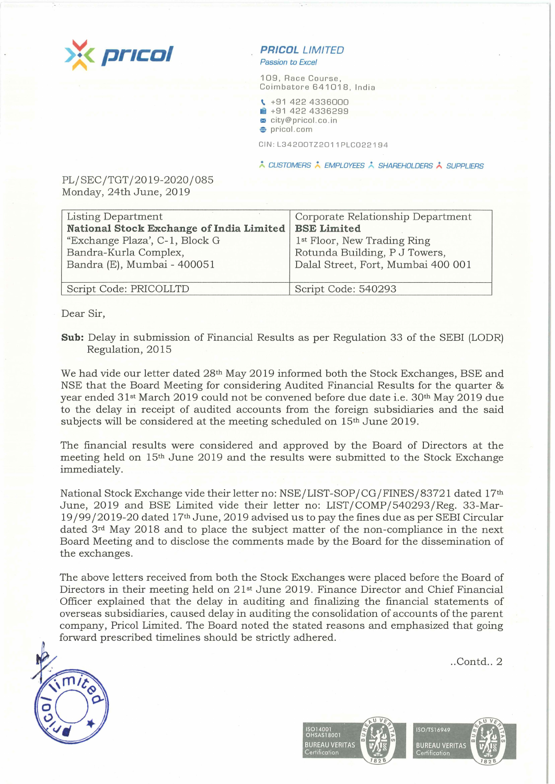

## **PR/COL LIMITED**  Passion to Excel

109, Race Course, Coimbatore 641018, India

- **t..** +91 422 4336000 **■ +91 422 4336299**
- <sup>~</sup>city@pricol .co . in
- **e** pricol.com

CIN : L34 200TZ 2011PLC022 1 9 4

\* CUSTOMERS \* EMPLOYEES \* SHAREHOLDERS \* SUPPLIERS

PL/SEC/TGT/2019-2020/085 Monday, 24th June, 2019

| Listing Department                       | Corporate Relationship Department       |
|------------------------------------------|-----------------------------------------|
| National Stock Exchange of India Limited | <b>BSE Limited</b>                      |
| "Exchange Plaza', C-1, Block G           | 1 <sup>st</sup> Floor, New Trading Ring |
| Bandra-Kurla Complex,                    | Rotunda Building, P J Towers,           |
| Bandra (E), Mumbai - 400051              | Dalal Street, Fort, Mumbai 400 001      |
|                                          |                                         |
| Script Code: PRICOLLTD                   | Script Code: 540293                     |
|                                          |                                         |

Dear Sir,

**Sub:** Delay in submission of Financial Results as per Regulation 33 of the SEBI (LODR) Regulation, 2015

We had vide our letter dated 28<sup>th</sup> May 2019 informed both the Stock Exchanges, BSE and NSE that the Board Meeting for considering Audited Financial Results for the quarter & year ended 31st March 2019 could not be convened before due date i.e. 30th May 2019 due to the delay in receipt of audited accounts from the foreign subsidiaries and the said subjects will be considered at the meeting scheduled on 15th June 2019.

The financial results were considered and approved by the Board of Directors at the meeting held on 15th June 2019 and the results were submitted to the Stock Exchange immediately.

National Stock Exchange vide their letter no: NSE/LIST-SOP /CG/FINES/83721 dated 17th June, 2019 and BSE Limited vide their letter no: LIST/COMP/540293/Reg. 33-Mar-19 /99/2019-20 dated 17th June, 2019 advised us to pay the fines due as per SEBI Circular dated 3rd May 2018 and to place the subject matter of the non-compliance in the next Board Meeting and to disclose the comments made by the Board for the dissemination of the exchanges.

The above letters received from both the Stock Exchanges were placed before the Board of Directors in their meeting held on 21st June 2019. Finance Director and Chief Financial Officer explained that the delay in auditing and finalizing the financial statements of overseas subsidiaries, caused delay in auditing the consolidation of accounts of the parent company, Pricol Limited. The Board noted the stated reasons and emphasized that going forward prescribed timelines should be strictly adhered.

 $..$ Contd $.. 2$